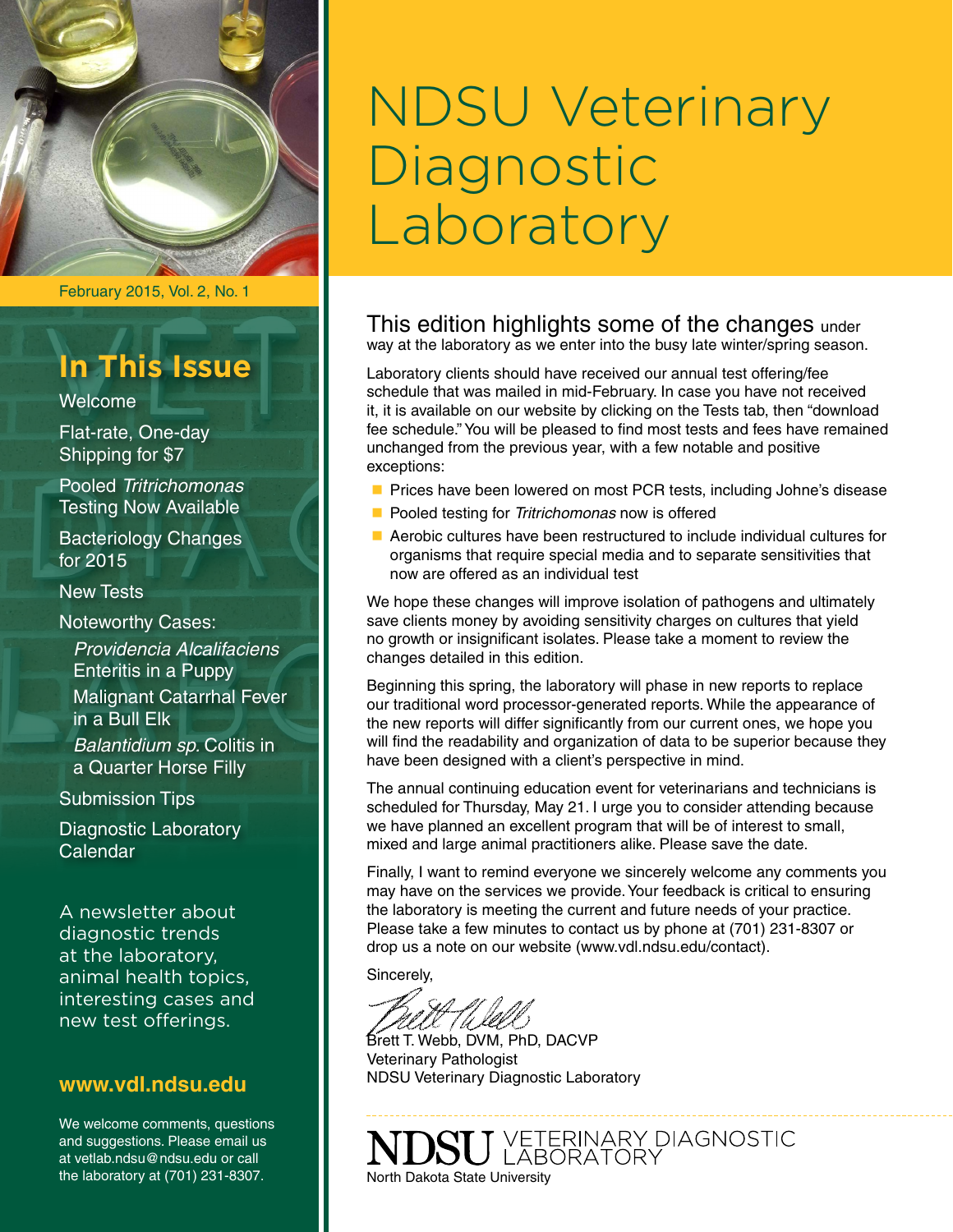

February 2015, Vol. 2, No. 1

# **In This Issue**

Welcome

Flat-rate, One-day Shipping for \$7

Pooled *Tritrichomonas*  Testing Now Available

Bacteriology Changes for 2015

New Tests

Noteworthy Cases:

*Providencia Alcalifaciens* Enteritis in a Puppy Malignant Catarrhal Fever in a Bull Elk *Balantidium sp.* Colitis in a Quarter Horse Filly

Submission Tips

Diagnostic Laboratory Calendar

A newsletter about diagnostic trends at the laboratory, animal health topics, interesting cases and new test offerings.

## **[www.vdl.ndsu.edu](file:///C:\Users\david.haasser\AppData\Local\Microsoft\Windows\Temporary%20Internet%20Files\Content.Outlook\2SAH4N2J\www.ag.ndsu.edu\ansc\)**

We welcome comments, questions and suggestions. Please email us at vetlab.ndsu@ndsu.edu or call the laboratory at (701) 231-8307.

# NDSU Veterinary **Diagnostic** Laboratory

This edition highlights some of the changes under way at the laboratory as we enter into the busy late winter/spring season.

Laboratory clients should have received our annual test offering/fee schedule that was mailed in mid-February. In case you have not received it, it is available on our website by clicking on the Tests tab, then "download fee schedule." You will be pleased to find most tests and fees have remained unchanged from the previous year, with a few notable and positive exceptions:

- **n** Prices have been lowered on most PCR tests, including Johne's disease
- **n** Pooled testing for *Tritrichomonas* now is offered
- $\blacksquare$  Aerobic cultures have been restructured to include individual cultures for organisms that require special media and to separate sensitivities that now are offered as an individual test

We hope these changes will improve isolation of pathogens and ultimately save clients money by avoiding sensitivity charges on cultures that yield no growth or insignificant isolates. Please take a moment to review the changes detailed in this edition.

Beginning this spring, the laboratory will phase in new reports to replace our traditional word processor-generated reports. While the appearance of the new reports will differ significantly from our current ones, we hope you will find the readability and organization of data to be superior because they have been designed with a client's perspective in mind.

The annual continuing education event for veterinarians and technicians is scheduled for Thursday, May 21. I urge you to consider attending because we have planned an excellent program that will be of interest to small, mixed and large animal practitioners alike. Please save the date.

Finally, I want to remind everyone we sincerely welcome any comments you may have on the services we provide. Your feedback is critical to ensuring the laboratory is meeting the current and future needs of your practice. Please take a few minutes to contact us by phone at (701) 231-8307 or drop us a note on our website (www.vdl.ndsu.edu/contact).

Sincerely,

Brett T. Webb, DVM, PhD, DACVP Veterinary Pathologist NDSU Veterinary Diagnostic Laboratory

J VETERINARY DIAGNOSTIC<br>J LABORATORY North Dakota State University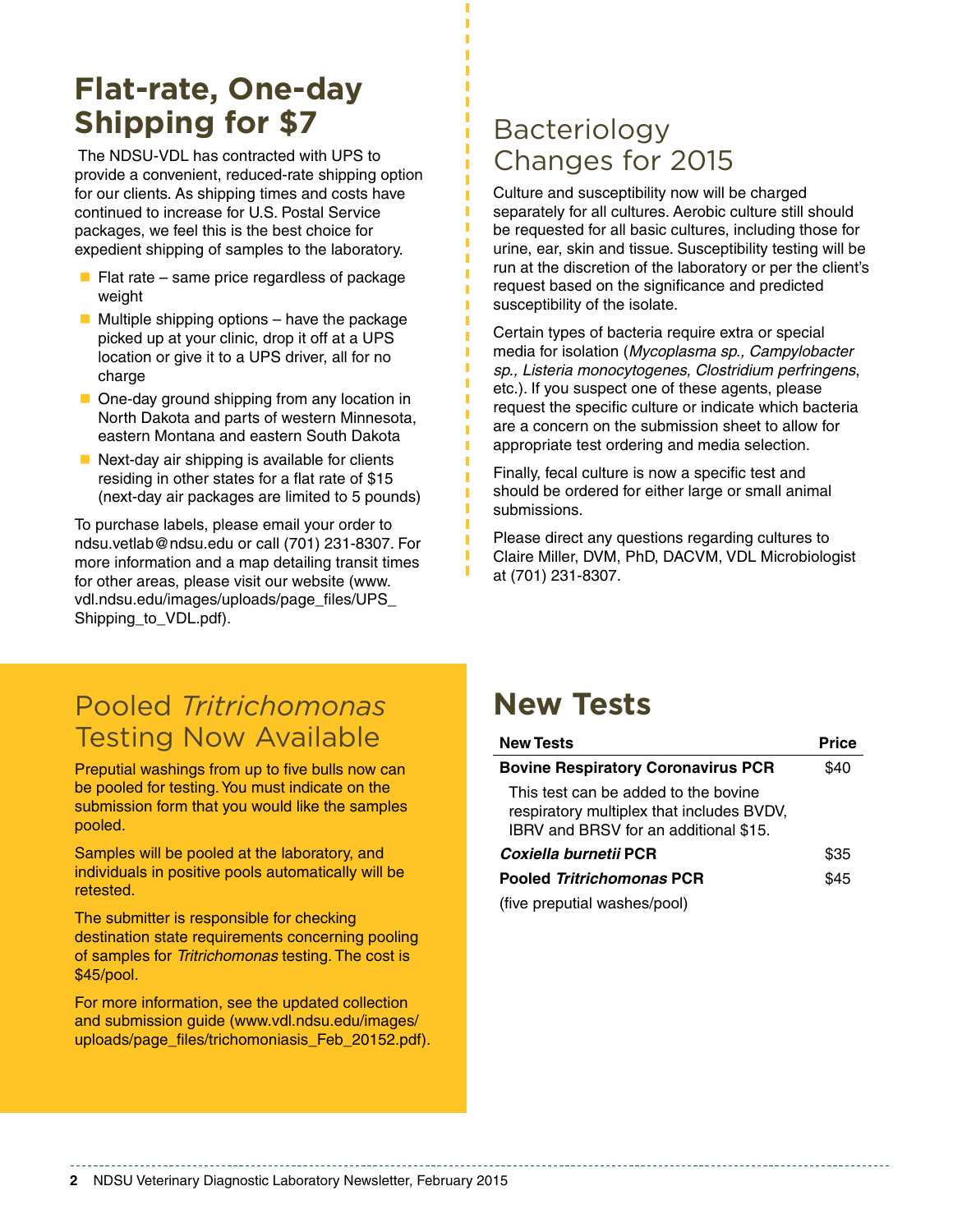# **Flat-rate, One-day Shipping for \$7**

 The NDSU-VDL has contracted with UPS to provide a convenient, reduced-rate shipping option for our clients. As shipping times and costs have continued to increase for U.S. Postal Service packages, we feel this is the best choice for expedient shipping of samples to the laboratory.

- $\blacksquare$  Flat rate same price regardless of package weight
- $\blacksquare$  Multiple shipping options have the package picked up at your clinic, drop it off at a UPS location or give it to a UPS driver, all for no charge
- $\blacksquare$  One-day ground shipping from any location in North Dakota and parts of western Minnesota, eastern Montana and eastern South Dakota
- $\blacksquare$  Next-day air shipping is available for clients residing in other states for a flat rate of \$15 (next-day air packages are limited to 5 pounds)

To purchase labels, please email your order to [ndsu.vetlab@ndsu.edu](mailto:ndsu.vetlab@ndsu.edu) or call (701) 231-8307. For more information and a map detailing transit times for other areas, please visit our website (www. vdl.ndsu.edu/images/uploads/page\_files/UPS\_ Shipping\_to\_VDL.pdf).

## Bacteriology Changes for 2015

Culture and susceptibility now will be charged separately for all cultures. Aerobic culture still should be requested for all basic cultures, including those for urine, ear, skin and tissue. Susceptibility testing will be run at the discretion of the laboratory or per the client's request based on the significance and predicted susceptibility of the isolate.

Certain types of bacteria require extra or special media for isolation (*Mycoplasma sp., Campylobacter sp., Listeria monocytogenes, Clostridium perfringens*, etc.). If you suspect one of these agents, please request the specific culture or indicate which bacteria are a concern on the submission sheet to allow for appropriate test ordering and media selection.

Finally, fecal culture is now a specific test and should be ordered for either large or small animal submissions.

Please direct any questions regarding cultures to Claire Miller, DVM, PhD, DACVM, VDL Microbiologist at (701) 231-8307.

## Pooled *Tritrichomonas* Testing Now Available

Preputial washings from up to five bulls now can be pooled for testing. You must indicate on the submission form that you would like the samples pooled.

Samples will be pooled at the laboratory, and individuals in positive pools automatically will be retested.

The submitter is responsible for checking destination state requirements concerning pooling of samples for *Tritrichomonas* testing. The cost is \$45/pool.

For more information, see the updated collection and submission guide (www.vdl.ndsu.edu/images/ uploads/page\_files/trichomoniasis\_Feb\_20152.pdf).

# **New Tests**

| <b>New Tests</b>                                                                                                           | <b>Price</b> |
|----------------------------------------------------------------------------------------------------------------------------|--------------|
| <b>Bovine Respiratory Coronavirus PCR</b>                                                                                  | \$40         |
| This test can be added to the bovine<br>respiratory multiplex that includes BVDV,<br>IBRV and BRSV for an additional \$15. |              |
| Coxiella burnetii PCR                                                                                                      | \$35         |
| <b>Pooled Tritrichomonas PCR</b>                                                                                           | \$45         |
| (five preputial washes/pool)                                                                                               |              |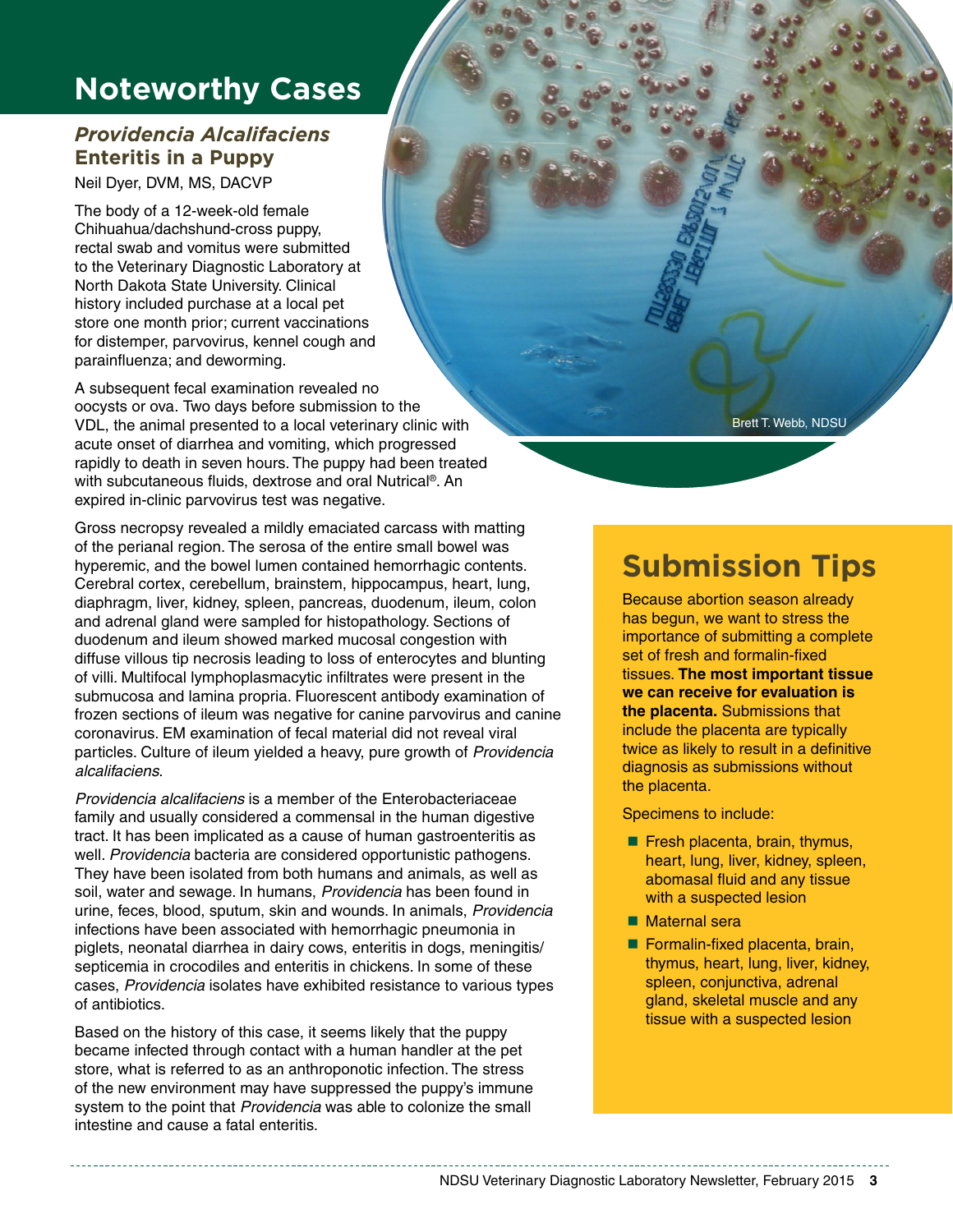# **Noteworthy Cases**

## *Providencia Alcalifaciens* **Enteritis in a Puppy**

Neil Dyer, DVM, MS, DACVP

The body of a 12-week-old female Chihuahua/dachshund-cross puppy, rectal swab and vomitus were submitted to the Veterinary Diagnostic Laboratory at North Dakota State University. Clinical history included purchase at a local pet store one month prior; current vaccinations for distemper, parvovirus, kennel cough and parainfluenza; and deworming.

A subsequent fecal examination revealed no oocysts or ova. Two days before submission to the VDL, the animal presented to a local veterinary clinic with acute onset of diarrhea and vomiting, which progressed rapidly to death in seven hours. The puppy had been treated with subcutaneous fluids, dextrose and oral Nutrical®. An expired in-clinic parvovirus test was negative.

Gross necropsy revealed a mildly emaciated carcass with matting of the perianal region. The serosa of the entire small bowel was hyperemic, and the bowel lumen contained hemorrhagic contents. Cerebral cortex, cerebellum, brainstem, hippocampus, heart, lung, diaphragm, liver, kidney, spleen, pancreas, duodenum, ileum, colon and adrenal gland were sampled for histopathology. Sections of duodenum and ileum showed marked mucosal congestion with diffuse villous tip necrosis leading to loss of enterocytes and blunting of villi. Multifocal lymphoplasmacytic infiltrates were present in the submucosa and lamina propria. Fluorescent antibody examination of frozen sections of ileum was negative for canine parvovirus and canine coronavirus. EM examination of fecal material did not reveal viral particles. Culture of ileum yielded a heavy, pure growth of *Providencia alcalifaciens*.

*Providencia alcalifaciens* is a member of the Enterobacteriaceae family and usually considered a commensal in the human digestive tract. It has been implicated as a cause of human gastroenteritis as well. *Providencia* bacteria are considered opportunistic pathogens. They have been isolated from both humans and animals, as well as soil, water and sewage. In humans, *Providencia* has been found in urine, feces, blood, sputum, skin and wounds. In animals, *Providencia* infections have been associated with hemorrhagic pneumonia in piglets, neonatal diarrhea in dairy cows, enteritis in dogs, meningitis/ septicemia in crocodiles and enteritis in chickens. In some of these cases, *Providencia* isolates have exhibited resistance to various types of antibiotics.

Based on the history of this case, it seems likely that the puppy became infected through contact with a human handler at the pet store, what is referred to as an anthroponotic infection. The stress of the new environment may have suppressed the puppy's immune system to the point that *Providencia* was able to colonize the small intestine and cause a fatal enteritis.

Brett T. Webb, NDSU

# **Submission Tips**

Because abortion season already has begun, we want to stress the importance of submitting a complete set of fresh and formalin-fixed tissues. **The most important tissue we can receive for evaluation is the placenta.** Submissions that include the placenta are typically twice as likely to result in a definitive diagnosis as submissions without the placenta.

Specimens to include:

- $\blacksquare$  Fresh placenta, brain, thymus, heart, lung, liver, kidney, spleen, abomasal fluid and any tissue with a suspected lesion
- Maternal sera
- $\blacksquare$  Formalin-fixed placenta, brain, thymus, heart, lung, liver, kidney, spleen, conjunctiva, adrenal gland, skeletal muscle and any tissue with a suspected lesion

NDSU Veterinary Diagnostic Laboratory Newsletter, February 2015 **3**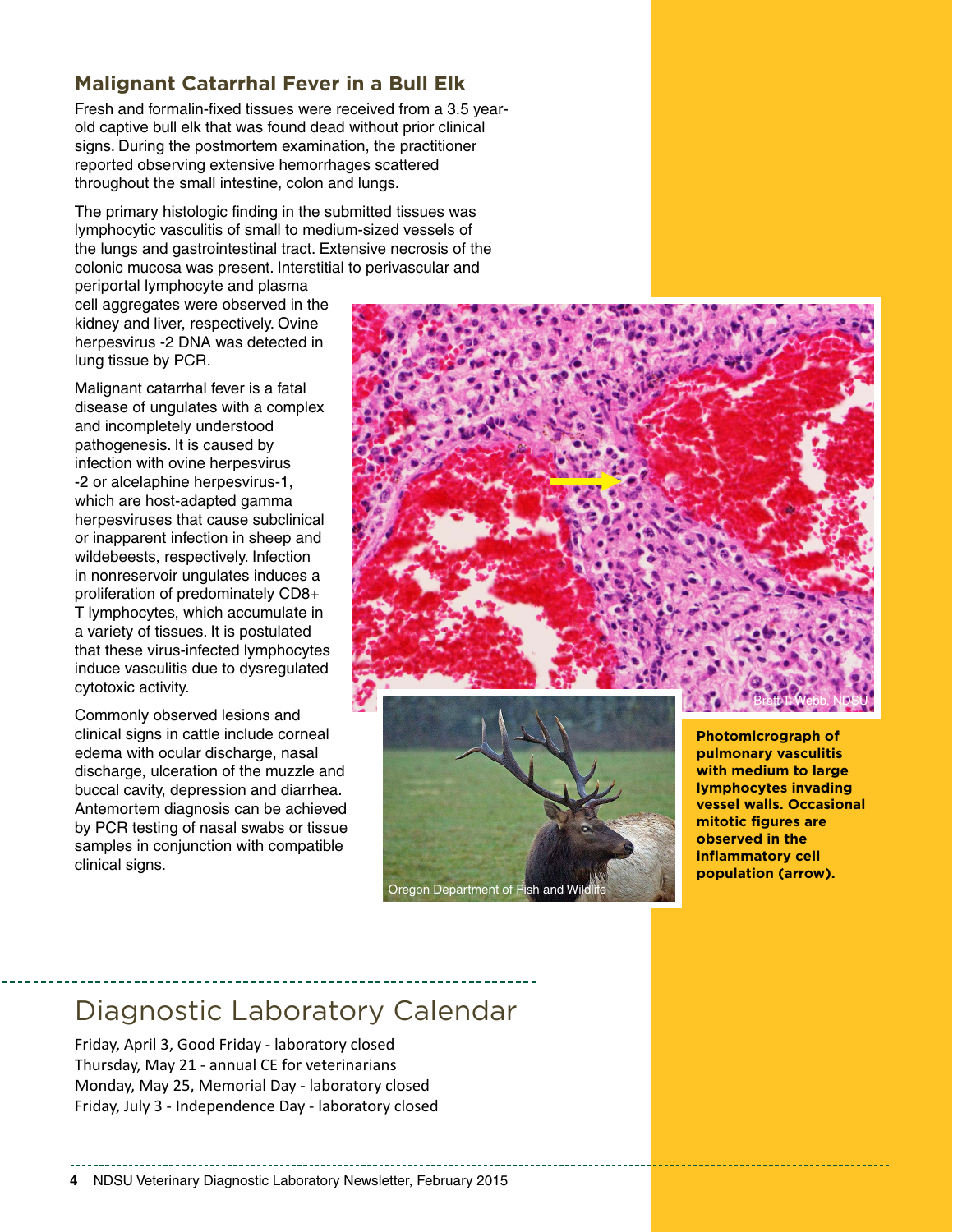## **Malignant Catarrhal Fever in a Bull Elk**

Fresh and formalin-fixed tissues were received from a 3.5 yearold captive bull elk that was found dead without prior clinical signs. During the postmortem examination, the practitioner reported observing extensive hemorrhages scattered throughout the small intestine, colon and lungs.

The primary histologic finding in the submitted tissues was lymphocytic vasculitis of small to medium-sized vessels of the lungs and gastrointestinal tract. Extensive necrosis of the colonic mucosa was present. Interstitial to perivascular and

periportal lymphocyte and plasma cell aggregates were observed in the kidney and liver, respectively. Ovine herpesvirus -2 DNA was detected in lung tissue by PCR.

Malignant catarrhal fever is a fatal disease of ungulates with a complex and incompletely understood pathogenesis. It is caused by infection with ovine herpesvirus -2 or alcelaphine herpesvirus-1, which are host-adapted gamma herpesviruses that cause subclinical or inapparent infection in sheep and wildebeests, respectively. Infection in nonreservoir ungulates induces a proliferation of predominately CD8+ T lymphocytes, which accumulate in a variety of tissues. It is postulated that these virus-infected lymphocytes induce vasculitis due to dysregulated cytotoxic activity.

Commonly observed lesions and clinical signs in cattle include corneal edema with ocular discharge, nasal discharge, ulceration of the muzzle and buccal cavity, depression and diarrhea. Antemortem diagnosis can be achieved by PCR testing of nasal swabs or tissue samples in conjunction with compatible clinical signs.





**Photomicrograph of pulmonary vasculitis with medium to large lymphocytes invading vessel walls. Occasional mitotic figures are observed in the inflammatory cell population (arrow).**

## Diagnostic Laboratory Calendar

Friday, April 3, Good Friday - laboratory closed Thursday, May 21 - annual CE for veterinarians Monday, May 25, Memorial Day - laboratory closed Friday, July 3 - Independence Day - laboratory closed